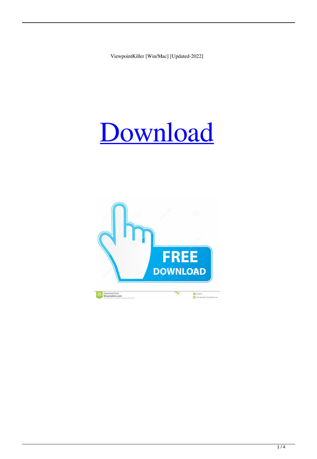ViewpointKiller [Win/Mac] [Updated-2022]

# [Download](http://evacdir.com/charcocaps/Vmlld3BvaW50S2lsbGVyVml/ZG93bmxvYWR8eEcwTW5reWRueDhNVFkxTkRVeU1qRXhNSHg4TWpVM05IeDhLRTBwSUhKbFlXUXRZbXh2WnlCYlJtRnpkQ0JIUlU1ZA.rahim=remover.forsyte.straightjacket)

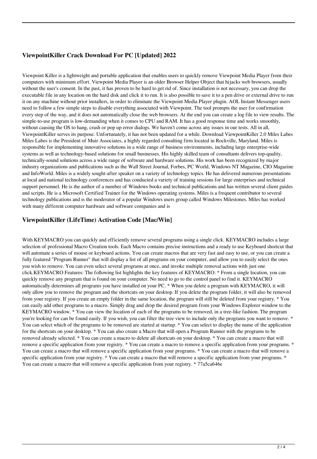## **ViewpointKiller Crack Download For PC [Updated] 2022**

Viewpoint Killer is a lightweight and portable application that enables users to quickly remove Viewpoint Media Player from their computers with minimum effort. Viewpoint Media Player is an older Browser Helper Object that hijacks web browsers, usually without the user's consent. In the past, it has proven to be hard to get rid of. Since installation is not necessary, you can drop the executable file in any location on the hard disk and click it to run. It is also possible to save it to a pen drive or external drive to run it on any machine without prior installers, in order to eliminate the Viewpoint Media Player plugin. AOL Instant Messenger users need to follow a few simple steps to disable everything associated with Viewpoint. The tool prompts the user for confirmation every step of the way, and it does not automatically close the web browsers. At the end you can create a log file to view results. The simple-to-use program is low-demanding when it comes to CPU and RAM. It has a good response time and works smoothly, without causing the OS to hang, crash or pop up error dialogs. We haven't come across any issues in our tests. All in all, ViewpointKiller serves its purpose. Unfortunately, it has not been updated for a while. Download ViewpointKiller 2.0 Miles Labes Miles Labes is the President of Muir Associates, a highly regarded consulting firm located in Rockville, Maryland. Miles is responsible for implementing innovative solutions in a wide range of business environments, including large enterprise-wide systems as well as technology-based solutions for small businesses. His highly skilled team of consultants delivers top-quality, technically-sound solutions across a wide range of software and hardware solutions. His work has been recognized by major industry organizations and publications such as the Wall Street Journal, Forbes, PC World, Windows NT Magazine, CIO Magazine and InfoWorld. Miles is a widely sought-after speaker on a variety of technology topics. He has delivered numerous presentations at local and national technology conferences and has conducted a variety of training sessions for large enterprises and technical support personnel. He is the author of a number of Windows books and technical publications and has written several client guides and scripts. He is a Microsoft Certified Trainer for the Windows operating systems. Miles is a frequent contributor to several technology publications and is the moderator of a popular Windows users group called Windows Milestones. Miles has worked with many different computer hardware and software companies and is

### **ViewpointKiller (LifeTime) Activation Code [Mac/Win]**

With KEYMACRO you can quickly and efficiently remove several programs using a single click. KEYMACRO includes a large selection of professional Macro Creation tools. Each Macro contains precise instructions and a ready to use Keyboard shortcut that will automate a series of mouse or keyboard actions. You can create macros that are very fast and easy to use, or you can create a fully featured "Program Runner" that will display a list of all programs on your computer, and allow you to easily select the ones you wish to remove. You can even select several programs at once, and invoke multiple removal actions with just one click.KEYMACRO Features: The following list highlights the key features of KEYMACRO: \* From a single location, you can quickly remove any program that is found on your computer. No need to go to the control panel to find it. KEYMACRO automatically determines all programs you have installed on your PC. \* When you delete a program with KEYMACRO, it will only allow you to remove the program and the shortcuts on your desktop. If you delete the program folder, it will also be removed from your registry. If you create an empty folder in the same location, the program will still be deleted from your registry. \* You can easily add other programs to a macro. Simply drag and drop the desired program from your Windows Explorer window to the KEYMACRO window. \* You can view the location of each of the programs to be removed, in a tree-like fashion. The program you're looking for can be found easily. If you wish, you can filter the tree view to include only the programs you want to remove. \* You can select which of the programs to be removed are started at startup. \* You can select to display the name of the application for the shortcuts on your desktop. \* You can also create a Macro that will open a Program Runner with the programs to be removed already selected. \* You can create a macro to delete all shortcuts on your desktop. \* You can create a macro that will remove a specific application from your registry. \* You can create a macro to remove a specific application from your programs. \* You can create a macro that will remove a specific application from your programs. \* You can create a macro that will remove a specific application from your registry. \* You can create a macro that will remove a specific application from your programs. \* You can create a macro that will remove a specific application from your registry. \* 77a5ca646e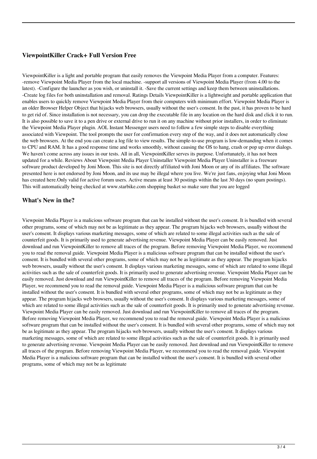### **ViewpointKiller Crack+ Full Version Free**

ViewpointKiller is a light and portable program that easily removes the Viewpoint Media Player from a computer. Features: -remove Viewpoint Media Player from the local machine. -support all versions of Viewpoint Media Player (from 4.00 to the latest). -Configure the launcher as you wish, or uninstall it. -Save the current settings and keep them between uninstallations. -Create log files for both uninstallation and removal. Ratings Details ViewpointKiller is a lightweight and portable application that enables users to quickly remove Viewpoint Media Player from their computers with minimum effort. Viewpoint Media Player is an older Browser Helper Object that hijacks web browsers, usually without the user's consent. In the past, it has proven to be hard to get rid of. Since installation is not necessary, you can drop the executable file in any location on the hard disk and click it to run. It is also possible to save it to a pen drive or external drive to run it on any machine without prior installers, in order to eliminate the Viewpoint Media Player plugin. AOL Instant Messenger users need to follow a few simple steps to disable everything associated with Viewpoint. The tool prompts the user for confirmation every step of the way, and it does not automatically close the web browsers. At the end you can create a log file to view results. The simple-to-use program is low-demanding when it comes to CPU and RAM. It has a good response time and works smoothly, without causing the OS to hang, crash or pop up error dialogs. We haven't come across any issues in our tests. All in all, ViewpointKiller serves its purpose. Unfortunately, it has not been updated for a while. Reviews About Viewpoint Media Player Uninstaller Viewpoint Media Player Uninstaller is a freeware software product developed by Joni Moon. This site is not directly affiliated with Joni Moon or any of its affiliates. The software presented here is not endorsed by Joni Moon, and its use may be illegal where you live. We're just fans, enjoying what Joni Moon has created here.Only valid for active forum users. Active means at least 30 postings within the last 30 days (no spam postings). This will automatically being checked at www.starbike.com shopping basket so make sure that you are logged

#### **What's New in the?**

Viewpoint Media Player is a malicious software program that can be installed without the user's consent. It is bundled with several other programs, some of which may not be as legitimate as they appear. The program hijacks web browsers, usually without the user's consent. It displays various marketing messages, some of which are related to some illegal activities such as the sale of counterfeit goods. It is primarily used to generate advertising revenue. Viewpoint Media Player can be easily removed. Just download and run ViewpointKiller to remove all traces of the program. Before removing Viewpoint Media Player, we recommend you to read the removal guide. Viewpoint Media Player is a malicious software program that can be installed without the user's consent. It is bundled with several other programs, some of which may not be as legitimate as they appear. The program hijacks web browsers, usually without the user's consent. It displays various marketing messages, some of which are related to some illegal activities such as the sale of counterfeit goods. It is primarily used to generate advertising revenue. Viewpoint Media Player can be easily removed. Just download and run ViewpointKiller to remove all traces of the program. Before removing Viewpoint Media Player, we recommend you to read the removal guide. Viewpoint Media Player is a malicious software program that can be installed without the user's consent. It is bundled with several other programs, some of which may not be as legitimate as they appear. The program hijacks web browsers, usually without the user's consent. It displays various marketing messages, some of which are related to some illegal activities such as the sale of counterfeit goods. It is primarily used to generate advertising revenue. Viewpoint Media Player can be easily removed. Just download and run ViewpointKiller to remove all traces of the program. Before removing Viewpoint Media Player, we recommend you to read the removal guide. Viewpoint Media Player is a malicious software program that can be installed without the user's consent. It is bundled with several other programs, some of which may not be as legitimate as they appear. The program hijacks web browsers, usually without the user's consent. It displays various marketing messages, some of which are related to some illegal activities such as the sale of counterfeit goods. It is primarily used to generate advertising revenue. Viewpoint Media Player can be easily removed. Just download and run ViewpointKiller to remove all traces of the program. Before removing Viewpoint Media Player, we recommend you to read the removal guide. Viewpoint Media Player is a malicious software program that can be installed without the user's consent. It is bundled with several other programs, some of which may not be as legitimate